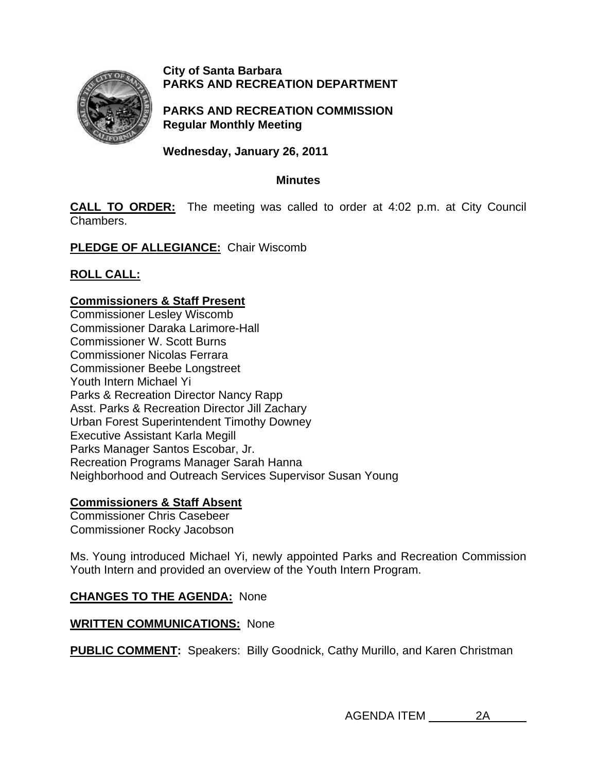

# **City of Santa Barbara PARKS AND RECREATION DEPARTMENT**

**PARKS AND RECREATION COMMISSION Regular Monthly Meeting** 

**Wednesday, January 26, 2011** 

### **Minutes**

**CALL TO ORDER:** The meeting was called to order at 4:02 p.m. at City Council Chambers.

**PLEDGE OF ALLEGIANCE:** Chair Wiscomb

**ROLL CALL:**

# **Commissioners & Staff Present**

Commissioner Lesley Wiscomb Commissioner Daraka Larimore-Hall Commissioner W. Scott Burns Commissioner Nicolas Ferrara Commissioner Beebe Longstreet Youth Intern Michael Yi Parks & Recreation Director Nancy Rapp Asst. Parks & Recreation Director Jill Zachary Urban Forest Superintendent Timothy Downey Executive Assistant Karla Megill Parks Manager Santos Escobar, Jr. Recreation Programs Manager Sarah Hanna Neighborhood and Outreach Services Supervisor Susan Young

# **Commissioners & Staff Absent**

Commissioner Chris Casebeer Commissioner Rocky Jacobson

Ms. Young introduced Michael Yi, newly appointed Parks and Recreation Commission Youth Intern and provided an overview of the Youth Intern Program.

# **CHANGES TO THE AGENDA:** None

# **WRITTEN COMMUNICATIONS:** None

**PUBLIC COMMENT:** Speakers: Billy Goodnick, Cathy Murillo, and Karen Christman

AGENDA ITEM 2A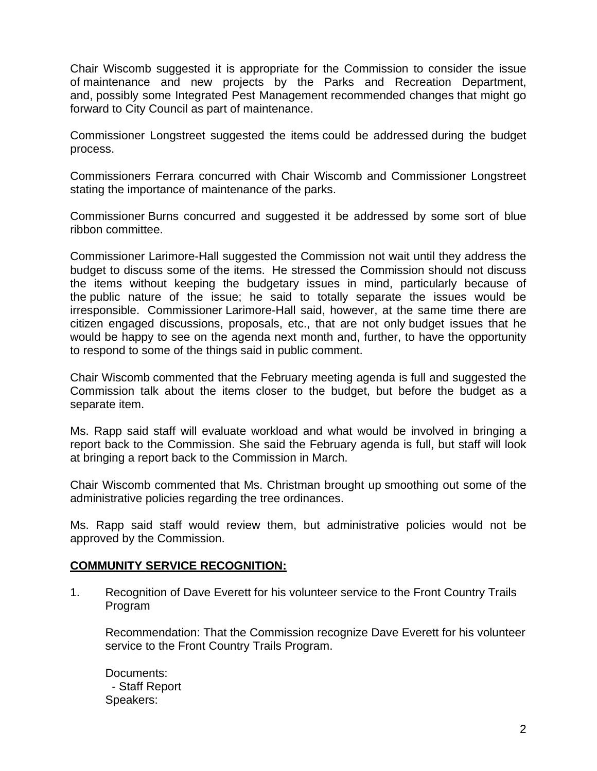Chair Wiscomb suggested it is appropriate for the Commission to consider the issue of maintenance and new projects by the Parks and Recreation Department, and, possibly some Integrated Pest Management recommended changes that might go forward to City Council as part of maintenance.

Commissioner Longstreet suggested the items could be addressed during the budget process.

Commissioners Ferrara concurred with Chair Wiscomb and Commissioner Longstreet stating the importance of maintenance of the parks.

Commissioner Burns concurred and suggested it be addressed by some sort of blue ribbon committee.

Commissioner Larimore-Hall suggested the Commission not wait until they address the budget to discuss some of the items. He stressed the Commission should not discuss the items without keeping the budgetary issues in mind, particularly because of the public nature of the issue; he said to totally separate the issues would be irresponsible. Commissioner Larimore-Hall said, however, at the same time there are citizen engaged discussions, proposals, etc., that are not only budget issues that he would be happy to see on the agenda next month and, further, to have the opportunity to respond to some of the things said in public comment.

Chair Wiscomb commented that the February meeting agenda is full and suggested the Commission talk about the items closer to the budget, but before the budget as a separate item.

Ms. Rapp said staff will evaluate workload and what would be involved in bringing a report back to the Commission. She said the February agenda is full, but staff will look at bringing a report back to the Commission in March.

Chair Wiscomb commented that Ms. Christman brought up smoothing out some of the administrative policies regarding the tree ordinances.

Ms. Rapp said staff would review them, but administrative policies would not be approved by the Commission.

### **COMMUNITY SERVICE RECOGNITION:**

1.Recognition of Dave Everett for his volunteer service to the Front Country Trails Program

Recommendation: That the Commission recognize Dave Everett for his volunteer service to the Front Country Trails Program.

Documents: - Staff Report Speakers: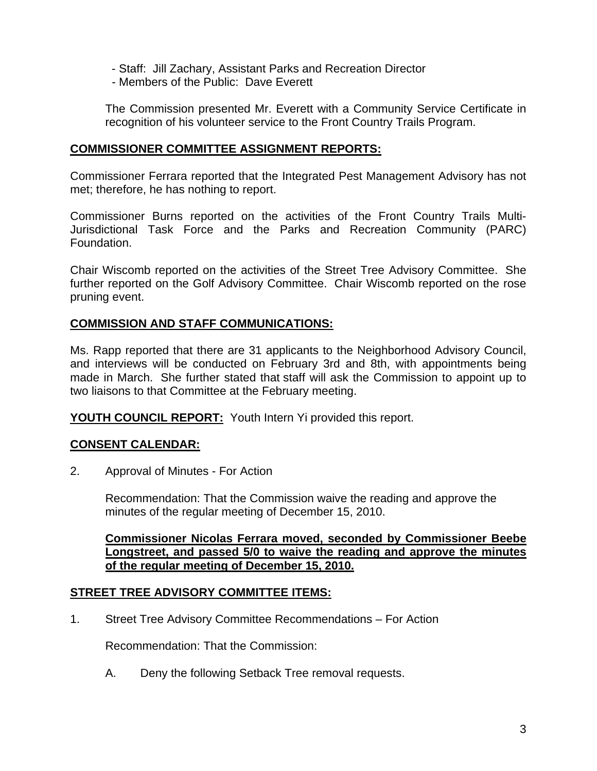- Staff: Jill Zachary, Assistant Parks and Recreation Director
- Members of the Public: Dave Everett

The Commission presented Mr. Everett with a Community Service Certificate in recognition of his volunteer service to the Front Country Trails Program.

### **COMMISSIONER COMMITTEE ASSIGNMENT REPORTS:**

Commissioner Ferrara reported that the Integrated Pest Management Advisory has not met; therefore, he has nothing to report.

Commissioner Burns reported on the activities of the Front Country Trails Multi-Jurisdictional Task Force and the Parks and Recreation Community (PARC) Foundation.

Chair Wiscomb reported on the activities of the Street Tree Advisory Committee. She further reported on the Golf Advisory Committee. Chair Wiscomb reported on the rose pruning event.

### **COMMISSION AND STAFF COMMUNICATIONS:**

Ms. Rapp reported that there are 31 applicants to the Neighborhood Advisory Council, and interviews will be conducted on February 3rd and 8th, with appointments being made in March. She further stated that staff will ask the Commission to appoint up to two liaisons to that Committee at the February meeting.

**YOUTH COUNCIL REPORT:** Youth Intern Yi provided this report.

# **CONSENT CALENDAR:**

2. Approval of Minutes - For Action

Recommendation: That the Commission waive the reading and approve the minutes of the regular meeting of December 15, 2010.

**Commissioner Nicolas Ferrara moved, seconded by Commissioner Beebe Longstreet, and passed 5/0 to waive the reading and approve the minutes of the regular meeting of December 15, 2010.**

### **STREET TREE ADVISORY COMMITTEE ITEMS:**

1. Street Tree Advisory Committee Recommendations – For Action

Recommendation: That the Commission:

A. Deny the following Setback Tree removal requests.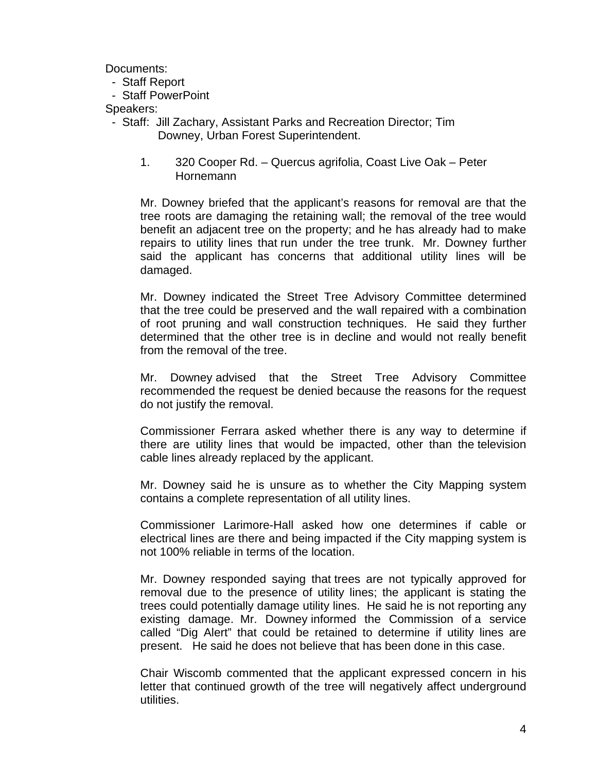Documents:

- Staff Report
- Staff PowerPoint

Speakers:

- Staff: Jill Zachary, Assistant Parks and Recreation Director; Tim Downey, Urban Forest Superintendent.
	- 1. 320 Cooper Rd. Quercus agrifolia, Coast Live Oak Peter **Hornemann**

Mr. Downey briefed that the applicant's reasons for removal are that the tree roots are damaging the retaining wall; the removal of the tree would benefit an adjacent tree on the property; and he has already had to make repairs to utility lines that run under the tree trunk. Mr. Downey further said the applicant has concerns that additional utility lines will be damaged.

Mr. Downey indicated the Street Tree Advisory Committee determined that the tree could be preserved and the wall repaired with a combination of root pruning and wall construction techniques. He said they further determined that the other tree is in decline and would not really benefit from the removal of the tree.

Mr. Downey advised that the Street Tree Advisory Committee recommended the request be denied because the reasons for the request do not justify the removal.

Commissioner Ferrara asked whether there is any way to determine if there are utility lines that would be impacted, other than the television cable lines already replaced by the applicant.

Mr. Downey said he is unsure as to whether the City Mapping system contains a complete representation of all utility lines.

Commissioner Larimore-Hall asked how one determines if cable or electrical lines are there and being impacted if the City mapping system is not 100% reliable in terms of the location.

Mr. Downey responded saying that trees are not typically approved for removal due to the presence of utility lines; the applicant is stating the trees could potentially damage utility lines. He said he is not reporting any existing damage. Mr. Downey informed the Commission of a service called "Dig Alert" that could be retained to determine if utility lines are present. He said he does not believe that has been done in this case.

Chair Wiscomb commented that the applicant expressed concern in his letter that continued growth of the tree will negatively affect underground utilities.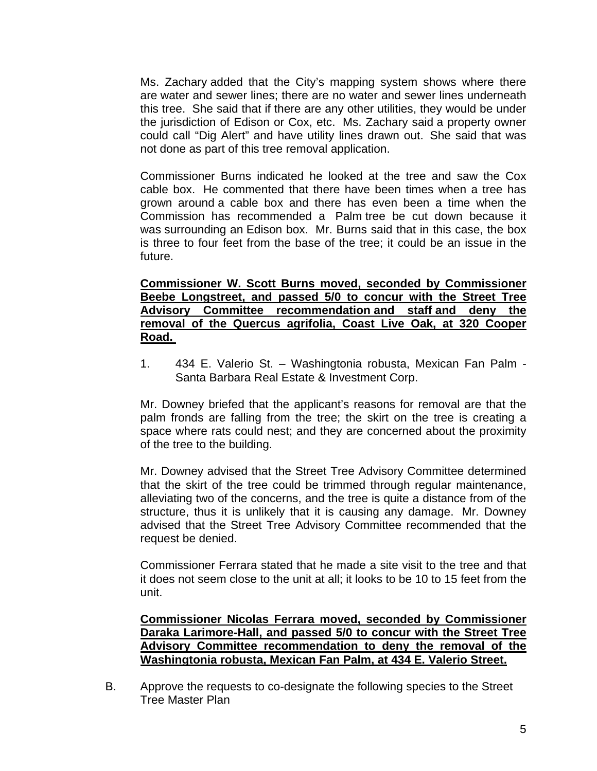Ms. Zachary added that the City's mapping system shows where there are water and sewer lines; there are no water and sewer lines underneath this tree. She said that if there are any other utilities, they would be under the jurisdiction of Edison or Cox, etc. Ms. Zachary said a property owner could call "Dig Alert" and have utility lines drawn out. She said that was not done as part of this tree removal application.

Commissioner Burns indicated he looked at the tree and saw the Cox cable box. He commented that there have been times when a tree has grown around a cable box and there has even been a time when the Commission has recommended a Palm tree be cut down because it was surrounding an Edison box. Mr. Burns said that in this case, the box is three to four feet from the base of the tree; it could be an issue in the future.

#### **Commissioner W. Scott Burns moved, seconded by Commissioner Beebe Longstreet, and passed 5/0 to concur with the Street Tree Advisory Committee recommendation and staff and deny the removal of the Quercus agrifolia, Coast Live Oak, at 320 Cooper Road.**

1. 434 E. Valerio St. – Washingtonia robusta, Mexican Fan Palm - Santa Barbara Real Estate & Investment Corp.

Mr. Downey briefed that the applicant's reasons for removal are that the palm fronds are falling from the tree; the skirt on the tree is creating a space where rats could nest; and they are concerned about the proximity of the tree to the building.

Mr. Downey advised that the Street Tree Advisory Committee determined that the skirt of the tree could be trimmed through regular maintenance, alleviating two of the concerns, and the tree is quite a distance from of the structure, thus it is unlikely that it is causing any damage. Mr. Downey advised that the Street Tree Advisory Committee recommended that the request be denied.

Commissioner Ferrara stated that he made a site visit to the tree and that it does not seem close to the unit at all; it looks to be 10 to 15 feet from the unit.

**Commissioner Nicolas Ferrara moved, seconded by Commissioner Daraka Larimore-Hall, and passed 5/0 to concur with the Street Tree Advisory Committee recommendation to deny the removal of the Washingtonia robusta, Mexican Fan Palm, at 434 E. Valerio Street.** 

 B. Approve the requests to co-designate the following species to the Street Tree Master Plan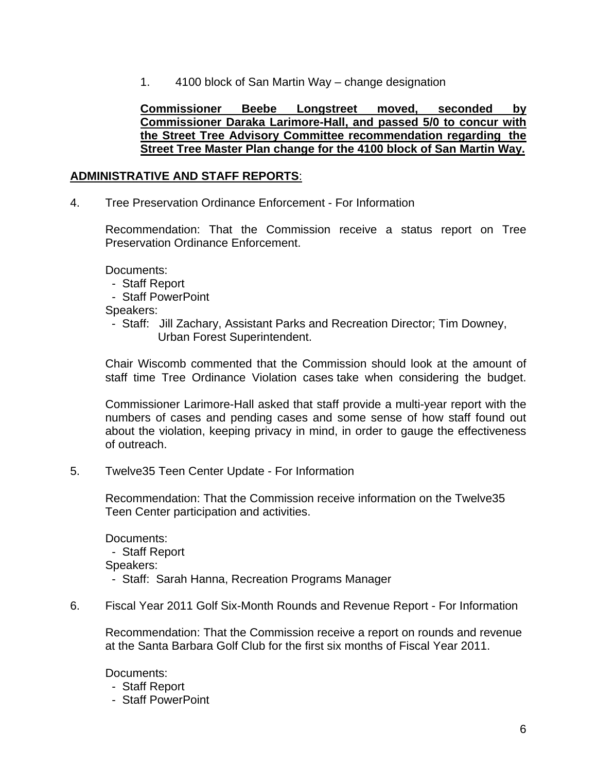1. 4100 block of San Martin Way – change designation

**Commissioner Beebe Longstreet moved, seconded by Commissioner Daraka Larimore-Hall, and passed 5/0 to concur with the Street Tree Advisory Committee recommendation regarding the Street Tree Master Plan change for the 4100 block of San Martin Way.** 

### **ADMINISTRATIVE AND STAFF REPORTS**:

4. Tree Preservation Ordinance Enforcement - For Information

Recommendation: That the Commission receive a status report on Tree Preservation Ordinance Enforcement.

Documents:

- Staff Report
- Staff PowerPoint

Speakers:

 - Staff: Jill Zachary, Assistant Parks and Recreation Director; Tim Downey, Urban Forest Superintendent.

Chair Wiscomb commented that the Commission should look at the amount of staff time Tree Ordinance Violation cases take when considering the budget.

Commissioner Larimore-Hall asked that staff provide a multi-year report with the numbers of cases and pending cases and some sense of how staff found out about the violation, keeping privacy in mind, in order to gauge the effectiveness of outreach.

5. Twelve35 Teen Center Update - For Information

Recommendation: That the Commission receive information on the Twelve35 Teen Center participation and activities.

Documents: - Staff Report Speakers: - Staff: Sarah Hanna, Recreation Programs Manager

6.Fiscal Year 2011 Golf Six-Month Rounds and Revenue Report - For Information

Recommendation: That the Commission receive a report on rounds and revenue at the Santa Barbara Golf Club for the first six months of Fiscal Year 2011.

Documents:

- Staff Report
- Staff PowerPoint